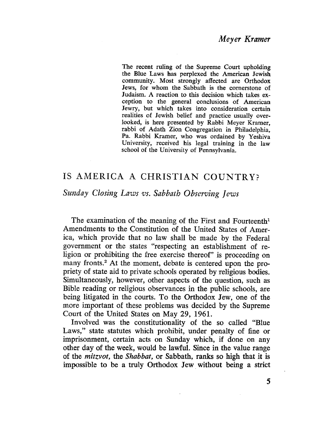The recent ruling of the Supreme Court upholding the Blue Laws has perplexed the American Jewish community. Most strongly affected are Orthodox Jews, for whom the Sabbath is the cornerstone of Judaism. A reaction to this decision which takes exception to the general conclusions of American Jewry, but which takes into consideration certain realities of Jewish belief and practice usually overlooked, is here presented by Rabbi Meyer Kramer, rabbi of Adath Zion Congregation in Philadelphia, Pa. Rabbi Kramer, who was ordained by Yeshiva University, received his legal training in the law school of the University of Pennsylvania.

# is AMERICA A CHRISTIAN COUNTRY?

# Sunday Closing Laws vs. Sabbath Observing Jews

The examination of the meaning of the First and Fourteenth<sup>1</sup> Amendments to the Constitution of the United States of America, which provide that no law shall be made by the Federal government or the states "respecting an establishment of religion or prohibiting the free exercise thereof" is proceeding on many fronts.<sup>2</sup> At the moment, debate is centered upon the propriety of state aid to private schools operated by religious bodies. Simultaneously, however, other aspects of the question, such as Bible reading or religious observances in the public schools, are being litigated in the courts. To the Orthodox Jew, one of the more important of these problems was decided by the Supreme Court of the United States on May 29, 1961.

Involved was the constitutionality of the so called "Blue Laws," state statutes which prohibit, under penalty of fine or imprisonment, certain acts on Sunday which, if done on any other day of the week, would be lawfuL. Since in the value range of the *mitzvot*, the *Shabbat*, or Sabbath, ranks so high that it is impossible to be a truly Orthodox Jew. without being a strict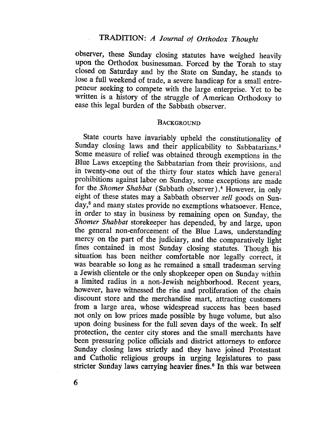# TRADITION: A Journal of Orthodox Thought

observer, these Sunday closing statutes have weighed heavily upon the Orthodox businessman. Forced by the Torah to stay closed on Saturday and by the State on Sunday, he stands to lose a full weekend of trade, a severe handicap for a small entrepeneur seeking to compete with the large enterprise. Yet to be written is a history of the struggle of American Orthodoxy to ease this legal burden of the Sabbath observer.

#### **BACKGROUND**

State courts have invariably upheld the constitutionality of Sunday closing laws and their applicability to Sabbatarians.<sup>3</sup> Some measure of relief was obtained through exemptions in the Blue Laws excepting the Sabbatarian from their provisions, and in twenty-one out of the thirty four states which have general prohibitions against labor on Sunday, some exceptions are made for the Shomer Shabbat (Sabbath observer).<sup>4</sup> However, in only eight of these states may a Sabbath observer sell goods on Sunday,<sup>5</sup> and many states provide no exemptions whatsoever. Hence, in order to stay in business by remaining open on Sunday, the Shomer Shabbat storekeeper has depended, by and large, upon the general non-enforcement of the Blue Laws, understanding mercy on the part of the judiciary, and the comparatively light fines contained in most Sunday closing statutes. Though his situation has been neither comfortable nor legally correct, it was bearable so long as he remained a small tradesman serving a Jewish clientele or the only shopkeeper open on Sunday within a limited radius in a non-Jewish neighborhood. Recent years, however, have witnessed the rise and proliferation of the chain discount store and the merchandise mart, attracting customers from a large area, whose widespread success has been based not only on low prices made possible by huge volume, but also upon doing business for the full seven days of the week. In self protection, the center city stores and the small merchants have been pressuring police officials and district attorneys to enforce Sunday closing laws strictly and they have joined Protestant and Catholic religious groups in urging legislatures to pass stricter Sunday laws carrying heavier fines.<sup>6</sup> In this war between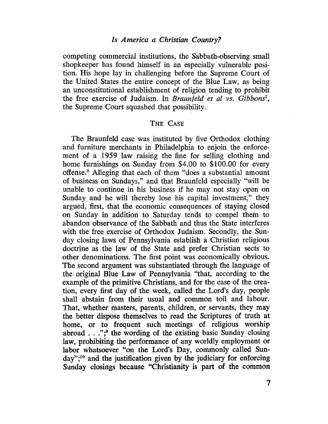## Is America a Christian Country?

competing commercial institutions, the Sabbath-observing small shopkeeper has found himself in an especially vulnerable position. His hope lay in challenging before the Supreme Court of the United States the entire concept of the Blue Law, as being an unconstitutional establishment of religion 'tending to prohibit the free exercise of Judaism. In Braunfeld et al vs. Gibbons<sup>7</sup>, the Supreme Court squashed that possibility.

### THE CASE

The Braunfeld case was instituted by five Orthodox clothing and furniture merchants in Philadelphia to enjoin the enforcement of a 1959 law raising the fine for selling clothing and home furnishings on Sunday from \$4.00 to \$100.00 for every offense.8 Alleging that each of them "does a substantial amount of business on Sundays," and that Braunfeld especially "will be unable to continue in his business if he may not stay open on Sunday and he will thereby lose his capital investment," they argued, first, that the economic consequences of staying closed on Sunday in. addition to Saturday tends to compel them to abandon observance of the Sabbath and thus the State interferes with the free exercise of Orthodox Judaism. Secondly, the Sunday closing laws of Pennsylvania establish a Christian religious doctrine as the law of the State and prefer Christian sects to other denomiations. The first point was economically obvious. The second argument was substantiated through the language of the original Blue Law of Pennsylvania "that, according to the example of the primitive Christians, and for the ease of the creation, every fist day of the week, called the Lord's day, people shall abstain from their usual and common toil and labour. That, whether masters, parents, chidren, or servants, they may the better dispose themselves to read the Scriptures of truth at home, or to frequent such meetings of religious worship abroad...";<sup>9</sup> the wording of the existing basic Sunday closing law, prohibiting the performance of any worldly employment or labor whatsoever "on the Lord's Day, commonly called Sun $day''$ ;<sup>10</sup> and the justification given by the judiciary for enforcing Sunday closings because "Christianity is part of the common

7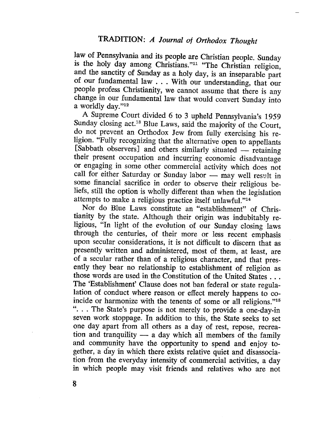law of Pennsylvania and its people are Christian people. Sunday is the holy day among Christians."<sup>11</sup> "The Christian religion, and the sanctity of Sunday as a holy day, is an inseparable part of our fundamental law . . . With our understanding, that our people profess Christianity, we cannot assume that there is any change in our fundamental law that would convert Sunday into a worldly day."12

A Supreme Court divided 6 to 3 upheld Pennsylvania's 1959 Sunday closing act.13 Blue Laws, said the majority of the Court, do not prevent an Orthodox Jew from fully exercising his religion. "Fully recognizing that the alternative open to appellants [Sabbath observers] and others similarly situated - retaining their present occupation and incurring economic disadvantage or engaging in some other commercial activity which does not call for either Saturday or Sunday labor - may well result in some financial sacrifice in order to observe their religious beliefs, still the option is wholly different than when the legislation attempts to make a religious practice itself unlawful."<sup>14</sup>

Nor do Blue Laws constitute an "establishment" of Christianity by the state. Although their origin was indubitably religious, "In light of the evolution of our Sunday closing. laws through the centuries, of their more or less recent emphasis upon secular considerations, it is not difficult to discern that as presently written and administered, most of them, at least, are of a secular rather than of a religious character, and that presently they bear no relationship to establishment of religion as those words are used in the Constitution of the United States. . . The 'Establishment' Clause does not ban federal or state regulalation of conduct where reason or effect merely happens to coincide or harmonize with the tenents of some or all religions."15 ". . . The State's purpose is not merely to provide a one-day-in seven work stoppage. In addition to this, the State seeks to set one day apart from all others as a day of rest, repose, recreation and tranquility  $-$  a day which all members of the family and community have the opportunity to spend and enjoy together, a day in which there exists relative quiet and disassociation 'from the everyday intensity of commercial activities, a day in which people may visit friends and relatives who are not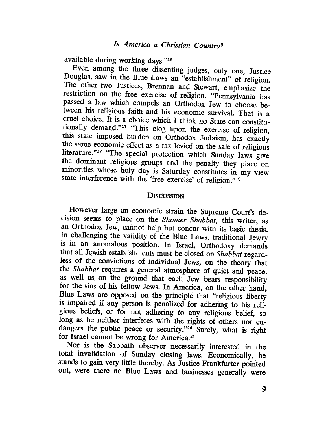available during working days."16

Even among the three dissenting judges, only one, Justice Douglas, saw in the Blue Laws an "establishment" of religion. The other two Justices, Brennan and Stewart, emphasize the restriction on the free exercise of religion. "Pennsylvania has passed a law which compels an Orthodox Jew to choose between his religious faith and his economic survival. That is a cruel choice. It is a choice which I think no State can constitutionally demand."17 "This clog upon the exercise of religion, this state imposed burden on Orthodox Judaism, has exactly the same economic effect as a tax levied on the sale of religious literature."<sup>18</sup> "The special protection which Sunday laws give the dominant religious groups and the penalty they place on minorities whose holy day is Saturday constitutes in my view state interference with the 'free exercise' of religion."19

#### **DISCUSSION**

However large an economic strain the Supreme Court's decision seems to place on the Shomer Shabbat, this writer, as an Orthodox Jew, cannot help but concur with its basic thesis. In challenging the validity of the Blue Laws, traditional Jewry is in an anomalous position. In Israel, Orthodoxy demands that all Jewish establishments must be closed on Shabbat regardless of the convictions. of individual Jews, on the theory that the Shabbat requires a general atmosphere of quiet and peace. as well as on the ground that each Jew bears responsibilty for the sins of his fellow Jews. In America, on the other hand, Blue Laws are opposed on the principle that "religious liberty is impaired if any person is penalized for adhering to his religious beliefs, or for not adhering tò any religious belief, so long as he neither interferes with the rights of others nor endangers the public peace or security."<sup>20</sup> Surely, what is right for Israel cannot be wrong for America.<sup>21</sup>

Nor is the Sabbath observer necessarily interested in the total invalidation of Sunday closing laws. Economically, he stands to gain very little thereby. As Justice Frankfurter pointed out, were there no Blue Laws and businesses generally were

9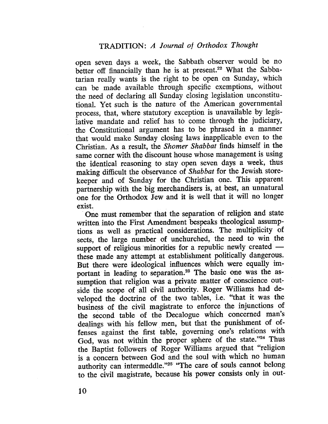open seven days a week, the Sabbath observer would be no better off financially than he is at present.<sup>22</sup> What the Sabbatarian really wants is the right to be open on Sunday, which can be made available through specifc exemptions, without the need of declaring all Sunday closing legislation unconstitutionaL. Yet such is the nature of the American governmental process, that, where statutory exception is unavailable by legislative mandate and relief has to come through the judiciary, the Constitutional argument has to be phrased in a manner that would make Sunday closing laws inapplicable even to the Christian. As a result, the Shomer Shabbat finds himself in the same corner with the discount house whose management is using the identical reasoning to stay open seven days a week, thus making difficult the observance of Shabbat for the Jewish storekeeper and of Sunday for the Christian one. This apparent partnership with the big merchandisers is, at best, an unnatural one for the Orthodox Jew and it is well that it will no longer exist.

. One must remember that the separation of religion and state written into the First Amendment bespeaks theological assumptions as well as practical considerations. The multiplicity of sects, the large number of unchurched, the need to win the support of religious minorities for a republic newly created these made any attempt at establishment politically dangerous. But there were ideological influences which were equally important in leading to separation.<sup>23</sup> The basic one was the assumption that religion was a private matter of conscience outside the scope of all civil authority. Roger Williams had developed the doctrine of the two tables, i.e. "that it was the business of the civil magistrate to enforce the injunctions of the second table of the Decalogue which concerned man's dealings with his fellow men, but that the punishment of offenses against the fist table, governing one's relations with God, was not within the proper sphere of the state." $24$  Thus the Baptist followers of Roger Williams argued that "religion is a concern between. God and the soul with which no human le, governing one's<br>roper sphere of the<br>ger Williams argued<br>and the soul with whi authority can intermeddle."<sup>25</sup> "The care of souls cannot belong to the civil magistrate, because his power consists only in out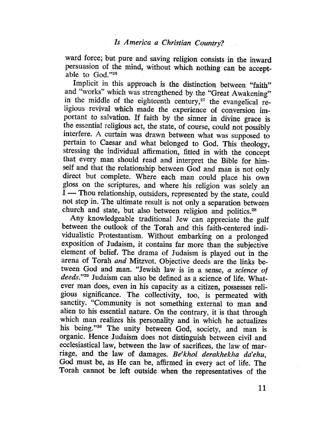ward force; but pure and saving religion consists in the inward persuasion of the mind, without which nothig can be acceptable to God."26

Implicit in this approach is the distinction between "faith" and "works" which was strengthened by the "Great Awakening" in the middle of the eighteenth century, $27$  the evangelical religious revival which made the experience of conversion important to salvation. If faith by the sinner in divine grace is the essential religious act, the state, of course, could not possibly interfere. A curtain was drawn between what was supposed to pertain to Caesar and what belonged to God. This theology, stressing the individual affirmation, fitted in with the concept that every man should read and interpret the Bible for himself and that the relationship between God and man is not only direct but complete. Where each man could place his own gloss on the scriptures, and where his religion was solely an  $I$  — Thou relationship, outsiders, represented by the state, could not step in. The ultimate result is not only a separation between church and state, but also between religion and politics.<sup>28</sup>

Any knowledgeable traditional Jew can appreciate the gul between the outlook of the Torah and this faith-centered individualistic Protestantism. Without embarking on a prolonged exposition of Judaism, it contains far more than the subjective element of belief. The drama of Judaism is played out in the arena of Torah and Mitzvot. Objective deeds are the links between God and man. "Jewish law is in a sense, a science of deeds."29 Judaism can also be defined as a science of life. Whatever man does, even in his capacity as a citizen, possesses religious signifcance. The collectivity, too, is permeated with sanctity. "Çommunity is not something external to man and alien to his essential nature. On the contrary, it is that through which man realzes his personality and in which he actualizes his being."30 The unity between God, society, and man is organic. Hence Judaism does not distinguish between civil and ecclesiastical law, between the law of sacrifices, the law of marriage, and the law of damages. Be'khol derakhekha da'ehu, God must be, as He can be, affirmed in every act of life. The Torah cannot be left outside. when the representatives of the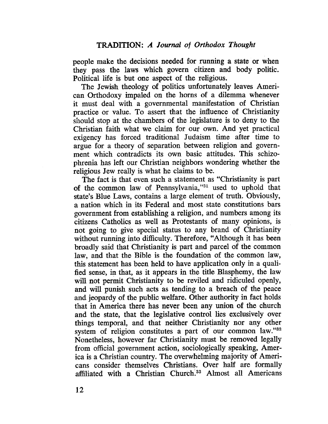people make the decisions needed for running a state or when they pass the laws which govern citizen and body politic. Political life is but one aspect of the religious.

The Jewish theology of politics unfortunately leaves American Orthodoxy impaled on the horns of a dilemma whenever it must deal with a governmental manifestation of Christian practice or value. To assert that the influence of Christianity should stop at the chambers of the legislature is to deny to the Christian faith what we claim for our own. And yet practical exigency has forced traditional Judaism time after time to argue for a theory of separation between religion and government which contradicts its own basic attitudes. This schizophrenia has left our Christian neighbors wondering whether the religious Jew realy is what he claims to be.

The fact is that even such a statement as "Christianity is part of the common law of Pennsylvania,"31 used to uphold that state's Blue Laws, contains a large element of truth. Obviously, a nation which in its Federal and most state constitutions bars government from establishing a religion, and numbers among its citizens Catholics as well as Protestants of many opinions, is not going to give special status to any brand of Christianity without running into difficulty. Therefore, "Although it has been broadly said that Christianity is part and parcel of the common law, and that the Bible is the foundation of the common law, this statement has been held to have application only in a qualified sense, in that, as it appears in the title Blasphemy, the law will not permit Christianity to be reviled and ridiculed openly, and will punish such acts as tending to a breach of the peace and jeopardy of the public welfare. Other authority in fact holds that in America there has never been any union of the church and the state, that the legislative control lies exclusively over things temporal, and that neither Christianity nor any other system of religion constitutes a part of our common law."32 Nonetheless, however far Christianity must be removed legally from official government action, sociologically speaking, America is a Christian country. The overwhelming majority of Americans consider themselves Christians. Over half are formally affiliated with a Christian Church.<sup>33</sup> Almost all Americans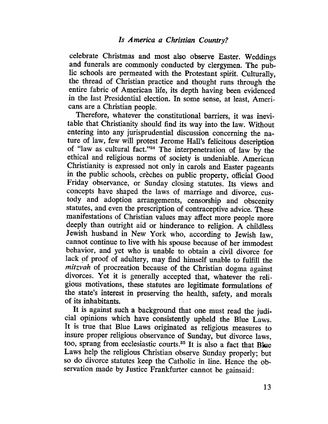celebrate Christmas and most also observe Easter. Weddings and funerals are commonly conducted by clergymen. The public schools are permeated with the Protestant spirt. Culturally, the thread of Christian practice and thought runs through the entire fabric of American life, its depth having been evidenced in the last Presidential election. In some sense, at least, Americans are a Christian people.

Therefore, whatever the constitutional barriers, it was inevitable that Christianity should find its way into the law. Without entering into any jurisprudential discussion concerning the nature of law, few will protest Jerome Hall's felicitous description of "law as cultural fact."34 The interpenetration of law by the ethical and religious norms of society is undeniable. American Christianity is expressed not only in carols and Easter pageants in the public schools, crèches on public property, official Good Friday observance, or Sunday closing statutes. Its views and concepts have shaped the laws of marriage and divorce, custody and adoption arrangements, censorship and obscenity statutes, and even the prescription of contraceptive advice. These manifestations of Christian values may affect more people more deeply than outright aid or hinderance to religion. A childless Jewish husband in New York who, according to Jewish law, cannot continue to live with his spouse because of her immodest behavior, and yet who is unable to obtain a civil divorce for lack of proof of adultery, may find himself unable to fulfill the mitzvah of procreation because of the Christian dogma against divorces. Yet it is generally accepted that, whatever the religious motivations, these statutes are legitimate formulations of the state's interest in preserving the health, safety, and morals of its inhabitants.

It is againt such a background that one must read the judicial opinons which have consistently upheld the Blue Laws. It is true that Blue Laws originated as religious measures to insure proper religious observance of Sunday, but divorce laws, too, sprang from ecclesiastic courts.<sup>35</sup> It is also a fact that Blue Laws help the religious Christian observe Sunday properly; but so do divorce statutes keep the Catholic in line. Hence the observation made by Justice Frankfurter cannot be gainsaid: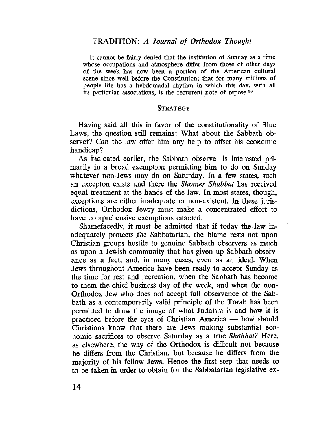It cannot be fairly denied that the institution of Sunday as a time whose occupations and atmosphere difer from those of other days of the week has now been a portion of the American cultural scene since well before the Constitution; that for many milions of people life has a hebdomadal rhythm in which this day, with all its particular associations, is the recurrent note of repose.36

#### **STRATEGY**

Having said all this in favor of the constitutionality of Blue Laws, the question still remains: What about the Sabbath observer? Can the law offer him any help to offset his economic handicap?

As indicated earlier, the Sabbath observer is interested primarily in a broad exemption permitting him to do on Sunday whatever non-Jews may do on Saturday. In a few states, such an excepton exists and there the Shomer Shabbat has received equal treatment at the hands of the law. In most states, though, exceptions are either inadequate or non-existent. In these jurisdictions, Orthodox Jewry must make a concentrated effort to have comprehensive exemptions enacted.

Shamefacedly, it must be admitted that if today the law inadequately protects the Sabbatarian, the blame rests not upon Christian groups hostile to genuine Sabbath observers as much as upon a Jewish community that has given up Sabbath observance as a fact, and, in many cases, even as an ideaL. When Jews throughout America have been ready to accept Sunday as the time for rest and recreation, when the Sabbath has become to them the chief busÎness day of the. week, and when the non-Orthodox Jew who does not accept full observance of the Sabbath as a contemporarily valid principle of the Torah has been permitted to draw the image of what Judaism is and how it is practiced before the eyes of Christian America — how should Christians know that there are Jews making substantial economic sacrifices to observe Saturday as a true Shabbat? Here, as elsewhere, the way of the Orthodox is difficult not because he difers from the Christian, but because he differs from the majority of his fellow Jews. Hence the fist step that needs to to be taken in order to obtain for the Sabbatarian legislative ex-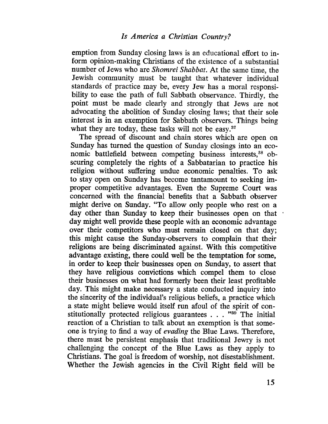emption from Sunday closing laws is an educational effort to inform opinion-making Christians of the existence of a substantial number of Jews who are Shomrei Shabbat. At the same time, the Jewish community must be taught that whatever individual standards of practice may be, every Jew has a moral responsibilty to ease the path of full Sabbath observance. Thirdly, the point must be made clearly and strongly that Jews are not advocating the abolition of Sunday closing laws; that their sole interest is in an exemption for Sabbath observers. Things being what they are today, these tasks will not be easy.<sup>37</sup>

The spread of discount and chain stores which are open on Sunday has turned the question of Sunday closings into an economic battlefield between competing business interests,<sup>38</sup> obscuring completely the rights of a Sabbatarian to practice his religion without suffering undue economic penalties. To ask to stay open on Sunday has become tantamount to seeking improper competitive advantages. Even the Supreme Court was concerned with the financial benefits that a Sabbath observer might derive on Sunday. "To allow only people who rest on a day other than Sunday to keep their businesses open on that day might well provide these people with an economic advantage over their competitors who must remain closed on that day; this might cause the Sunday-observers to complain that their religions are being discriminated against. With this competitive advantage existing, there could well be the temptation for some, in order to keep their businesses open on Sunday, to assert that they have religious convictions which compel them to close their businesses on what had formerly been their least profitable day. This might make necessary a state conducted inquiry into the sincerity of the individual's religious beliefs, a practice which a state might believe would itself run afoul of the spirit of constitutionally protected religious guarantees  $\ldots$  "<sup>39</sup> The initial reaction of a Christian to talk about an exemption is that someone is trying to find a way of evading the Blue Laws. Therefore, there must be persistent emphasis that traditional Jewry is not challenging the concept of the Blue Laws as they apply to Christians. The goal is freedom of worship, not disestablishment. Whether the Jewish agencies in the Civil Right field will be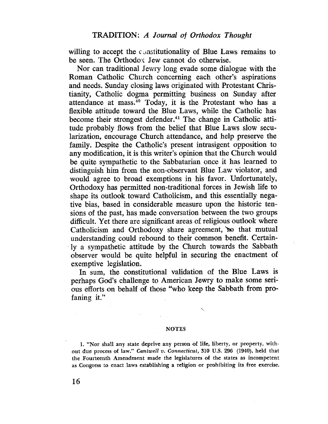willing to accept the constitutionality of Blue Laws remains to be seen. The Orthodox Jew cannot do otherwise.

Nor can traditional Jewry long evade some dialogue with the Roman Catholic Church concerning each other's aspirations and needs. Sunday closing laws originated with Protestant Christianity, Catholic dogma permitting business on Sunday after attendance at mass. $40$  Today, it is the Protestant who has a flexible attitude toward the Blue Laws, while the Catholic has become their strongest defender. 41 The change in Catholic attitude probably flows from the belief that Blue Laws slow secularization, encourage Church attendance, and help preserve the family. Despite the Catholic's present intrasigent opposition to any modifcation, it is this writer's opinon that the Church would be quite sympathetic to the Sabbatarian once it has learned to distinguish him from the non-observant Blue Law violator, and would agree to broad exemptions in his favor. Unfortunately, Orthodoxy has permitted non-traditional forces in Jewish life to shape its outlook toward Catholicism, and this essentially negative bias, based in considerable measure upon the historic tensions of the past, has made conversation between the two groups difficult. Yet there are significant areas of religious outlook where Catholicism and Orthodoxy share agreement, so that mutual understanding could rebound to their common benefit. Certain-. ly a sympathetic attitude by the Church towards the Sabbath observer would be quite helpful in securing the enactment of exemptive legislation.

In sum, the constitutional validation of the Blue Laws is perhaps God's challenge to American Jewry to make some serious efforts on behalf of those "who keep the Sabbath from pro~ faning it."

#### NOTES

'.-

1. "Nor shall any state deprive any person of life, liberty, or property, without due process of law." Cantwell v. Connecticut, 310 U.S. 296 (1940), held that the Fourteenth Amendment made the legislatures of the states as incompetent as Congress to enact laws establishing a religion or prohibiting its free exercise.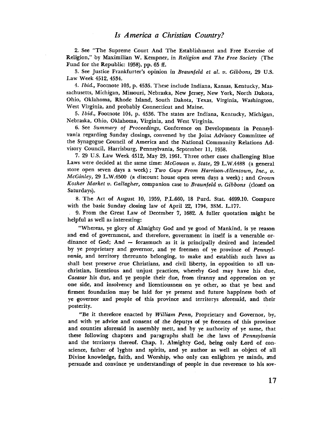2. See "The Supreme Court And The Establishment and Free Exercise of Religion," by Maximilian W. Kempner, in Religion and The Free Society (The Fund for the Republic: 1958), pp. 65 ff.

3. See Justice Frankfurter's opinion in Braunfeld et al. v. Gibbons, 29 U.S. Law Week 4512, 4534.

4. Ibid., Footnote 103, p. 4535. These include Indiana, Kansas, Kentucky, Massachusetts, Michigan, Missouri, Nebraska, New Jersey, New York, North Dakota, Ohio, Oklahoma, Rhode Island, South Dakota, Texas, Virginia, Washington, West Virginia, and probably Connecticut and Maine.

5. Ibid., Footnote 104, p. 4536. The states are Indiana, Kentucky, Michigan, Nebraska, Ohio, Oklahoma, Virginia, and West Virginia.

6. See Summary of Proceedings, Conference on Developments in Pennsylvania regarding Sunday dosings, convened by the Joint Advisory Committee of the Synagogue Council of America and the National Community Relations Advisory Council, Harrisburg, Pennsylvania, September II, 1958.

7. 29 U.S. Law Week 4512, May 29, 1961. Three other cases challenging Blue Laws were decided at the same time: McGowan v. State, 29 L.W.4488 (a general store open seven days a week); Two Guys From Harrison-Allentown, Inc., v. McGinley, 29 L.W.4500 (a discount house open seven days a week); and Crown Kosher Market v. Gallagher, companion case to Braunfeld v. Gibbons (closed on Saturdays).

8. The Act of August 10, 1959, P.L.660, 18 Purd. Stat. 4699.10. Compare with the basic Sunday dosing law of April 22, 1794, 3SM. L.177.

. 9. From the Great Law of December 7, 1682. A fuller quotation might be helpful as well as interesting:

"Whereas, ye glory of Almighty God and ye good of Mankind, is ye reason and end of government, and therefore, government in itself is a venerable ordinance of God; And - forasmuch as it is principally desired and intended by ye proprietary and governor, and ye freemen of ye province of Pennsylvania, and territory thereunto belonging, to make and establish such laws as shall best preserve true Christians, and civil liberty, in opposition to all unchristian, licentious and unjust practices, whereby God may have his due, Caeasar his due, and ye people their due, from tiranny and oppression on ye one side, and insolvency and licentiousness on ye other, so that ye best and firmest foundation may be laid for ye present and future happiness iboth of ye governor and peple of this province and territorys aforesaid, and their posterity.

"Be it therefore enacted by William Penn, Proprietary and Governor, by, and with ye advice and consent of the deputys of ye freemen of this province and counties aforesaid in assembly mett, and by ye authority of ye same, that these following chapters and paragraphs shall be the laws of Pennsylvania and the territorys thereof. Chap. 1. Almighty God, being only Lord of conscience, father of lyghts and spirits, and ye author as well as object of all Divine knowledge, faith, and Worship, who only can enlighten ye minds, and persuade and convince ye understandings of peple in due reverence to his sov-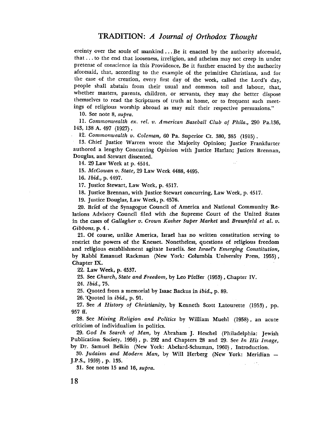ereinty over the souls of mankind... Be it enacted by the authority aforesaid, that. . . to the end that looseness, irreligion, and atheism may not creep in under pretense of conscience in this Providence, Be it further enacted by the authority aforesaid, that, according to the example of the primitive Christians, and for the ease of the creation, every first day of the week, called the Lord's day, people shall abstain from their usual and common toil and labour, that, whether masters, parents, children, or servants, they may the better dispose themselves to read the Scriptures of truth at home, or to frequent such meetings of religious worship abroad as may suit their respective persuasions."

10. See note 8, supra.

11. Commonwealth ex. rel. v. American Baseball Club of Phila., 290 Pa.136, 143, 138 A. 497 (1927).

12. Commonwealth v. Coleman, 60 Pa. Superior Ct. 380, 385 (1915).

13. Chief Justice Warren wrote the Majority Opinion; Justice Frankfurter authored a lengthy Concurring Opinion with Justice Harlan; Jutices Brennan, Douglas, and Stewart dissented.

14. 29 Law Week at p. 4514.

15. McGowan v. State, 29 Law Week 4488, 4495.

16. Ibid., p. 4497.

17. Justice Stewart, Law Week, p. 4517.

18. Justice Brennan, with Justice Stewart concurring, Law Week, p. 4517.

19. Justice Douglas, Law Week, p. 4576.

20. Brief of the Synagogue Council of America and National Community Relations Advisory Council filed with the Supreme Court of the United States in the cases of Gallagher v. Crown Kosher Super Market and Braunfeld et al. v. Gibbons, p. 4 .

21. Of course, unlike America, Israel has no written constitution serving to restrict the powers of the Knesset. Nonetheless, questions of religious freedom and religious establishment agitate Israelis. See Israel's Emerging Constitution, by Rabbi Emanuel Rackman (New York: Columbia University Press. 1955), Chapter IX.

22. Law Week, p. 4537.

23. See Church, State and Freedom, by Leo Pfeffer (1953), Chapter iv.

24. Ibid., 75.

25. Quoted from a memorial by Isaac Backus in ibid., p. 89.

26. Quoted in *ibid.*, p. 91.

27. See A History of Christianity, by Kenneth Scott Latourette (1953), pp. 957 fl.

28. See Mixing Religion and Politics by Wiliam Muehl (1958), an acute criticism of individualism in politics. .

29. God In Search of Man, by Abraham J. Heschel (Philadelphia: Jewish Publication Society, 1956), p. 292 and Chapters 28 and 29. See In His Image, by Dr. Samuel Belkin (New York: Abelard-Schuman, 1960), Introduction.

30. Judaism and Modern Man, by Wil Herberg (New York: Meridian J.P.S., 1959) , p. 135.  $\sim$   $^{\prime}$  .

31. See notes 15 and 16, supra.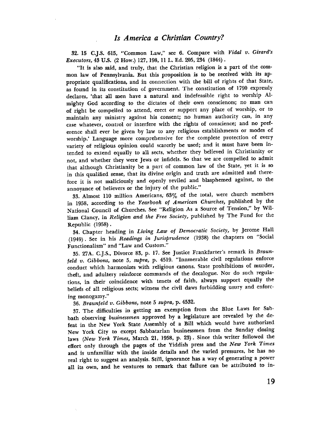### Is America a Christian Country?

32. 15 C.J.S. 615, "Common Law," see 6. Compare with Vidal v. Girard's Executors, 43 U.s. (2 How.) 127,198, ii L. Ed. 205, 234 (1844).

"It is also said, and truly, that the Christian religion is a part of the common law of Pennsylvania. But this proposition is to be received with its appropriate qualifications, and in connection with the bill of rights of that State, as found in its constitution of government. The constitution of 1790 expressly declares, 'that all men have a natural and indefeasible right to worship AImighty God according to the dictates of their own consciences; no man can of right be compelled to attend, erect or support any place of worship, or to maintain any ministry against his consent; no human authority can, in any case whatever, control or interfere with the rights of conscience; and no pref. erence shall ever be given by law to any religious establishments or modes of worship.' Language more comprehensive for the complete protection of every variety of religious opinion could scarcely be used; and it must have been intended to extend equally to all sects, whether they believed in Christianity or not, and whether they were Jews or infidels. So that we are compelled to admit that although Christianity be a part of common law of the State, yet it is so in this qualified sense, that its divine origin and truth are admitted and therefore it is not maliciously and openly reviled and blasphemed against, to the annoyance of believers or the injury of the public."

33. Almost 110 million Americans, 63% of the total, were church members in 1958, according to the Yearbook of American Churches, published by the National Council of Churches. See "Religion As a Source of Tension," by William Clancy, in Religion and the Free Society, published by The Fund for the Republic (1958).

34. Chapter heading in Living Law of Democratic Society, by Jerome Hall (1949). See in his Readings in Jurisprudence (1938) the chapters on "Social Functionalism" and "Law and Custom."

35. 27A. C.).S., Divorce 83, p. 17. See Justice Frankfurter's remark in Braunfeld v. Gibbons, note 5, supra, p. 4519. "Innmerable civil regulations enforce conduct which harmonizes with religious canons. State prohibitions of murder, theft, and adultery reinforce commands of the decalogue. Nor do such regulations, in their coincidence with tenets of faith, always support equally the beliefs of all religious sects; witness the civil daws forbidding usury and enforcing monogamy:'

36. Braunfeld v. Gibbons, note 5 supra, p. 4532.

37. The diffculties in getting an exemption from the Blue Laws for Sabbath observing businessmen approved hy a legislature are revealed by the defeat in the New York State Assembly of a Bill which would have authorized New York City to except Sabbatarian businessmen from the Sunday closing laws (New York Times, March 21, 1958, p. 23). Since this writer followed the effort only through the pages of the Yiddish press and the New York Times and is unfamilar with the inside details and the varied pressures, he has no real right to suggest an analysis. Stil, ignorance has a way of generating a power all its own, and he ventures to remark that failure can be attributed to in-